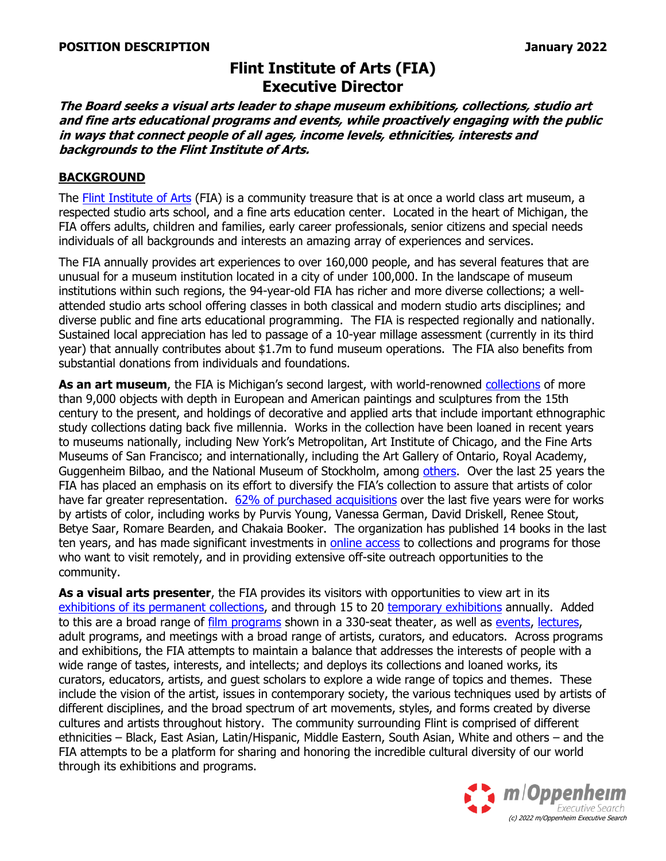# **Flint Institute of Arts (FIA) Executive Director**

**The Board seeks a visual arts leader to shape museum exhibitions, collections, studio art and fine arts educational programs and events, while proactively engaging with the public in ways that connect people of all ages, income levels, ethnicities, interests and backgrounds to the Flint Institute of Arts.**

#### **BACKGROUND**

The [Flint Institute of Arts](https://www.flintarts.org/) (FIA) is a community treasure that is at once a world class art museum, a respected studio arts school, and a fine arts education center. Located in the heart of Michigan, the FIA offers adults, children and families, early career professionals, senior citizens and special needs individuals of all backgrounds and interests an amazing array of experiences and services.

The FIA annually provides art experiences to over 160,000 people, and has several features that are unusual for a museum institution located in a city of under 100,000. In the landscape of museum institutions within such regions, the 94-year-old FIA has richer and more diverse collections; a wellattended studio arts school offering classes in both classical and modern studio arts disciplines; and diverse public and fine arts educational programming. The FIA is respected regionally and nationally. Sustained local appreciation has led to passage of a 10-year millage assessment (currently in its third year) that annually contributes about \$1.7m to fund museum operations. The FIA also benefits from substantial donations from individuals and foundations.

**As an art museum**, the FIA is Michigan's second largest, with world-renowned [collections](https://collections.flintarts.org/groups) of more than 9,000 objects with depth in European and American paintings and sculptures from the 15th century to the present, and holdings of decorative and applied arts that include important ethnographic study collections dating back five millennia. Works in the collection have been loaned in recent years to museums nationally, including New York's Metropolitan, Art Institute of Chicago, and the Fine Arts Museums of San Francisco; and internationally, including the Art Gallery of Ontario, Royal Academy, Guggenheim Bilbao, and the National Museum of Stockholm, among [others.](https://flintarts.org/art/on-tour) Over the last 25 years the FIA has placed an emphasis on its effort to diversify the FIA's collection to assure that artists of color have far greater representation. [62% of purchased acquisitions](https://flintarts.org/art/acquisitions) over the last five years were for works by artists of color, including works by Purvis Young, Vanessa German, David Driskell, Renee Stout, Betye Saar, Romare Bearden, and Chakaia Booker. The organization has published 14 books in the last ten years, and has made significant investments in [online access](https://collections.flintarts.org/groups/american-collection) to collections and programs for those who want to visit remotely, and in providing extensive off-site outreach opportunities to the community.

**As a visual arts presenter**, the FIA provides its visitors with opportunities to view art in its exhibitions [of its permanent collections,](https://flintarts.org/art/galleries) and through 15 to 20 [temporary exhibitions](https://flintarts.org/events/exhibitions) annually. Added to this are a broad range of [film programs](https://flintarts.org/events/films) shown in a 330-seat theater, as well as [events,](https://flintarts.org/events/special-events) [lectures,](https://flintarts.org/events/lectures) adult programs, and meetings with a broad range of artists, curators, and educators. Across programs and exhibitions, the FIA attempts to maintain a balance that addresses the interests of people with a wide range of tastes, interests, and intellects; and deploys its collections and loaned works, its curators, educators, artists, and guest scholars to explore a wide range of topics and themes. These include the vision of the artist, issues in contemporary society, the various techniques used by artists of different disciplines, and the broad spectrum of art movements, styles, and forms created by diverse cultures and artists throughout history. The community surrounding Flint is comprised of different ethnicities – Black, East Asian, Latin/Hispanic, Middle Eastern, South Asian, White and others – and the FIA attempts to be a platform for sharing and honoring the incredible cultural diversity of our world through its exhibitions and programs.

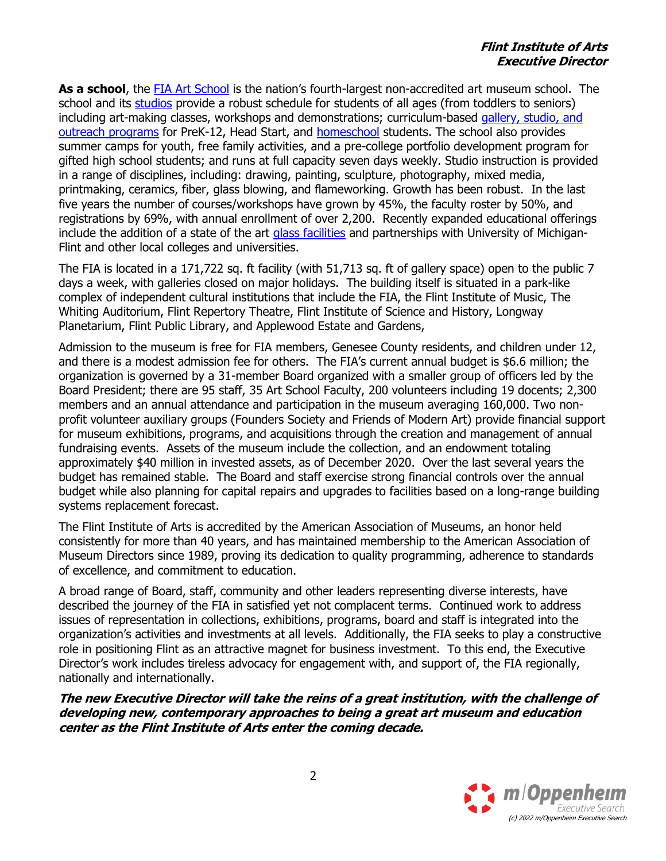## **Flint Institute of Arts Executive Director**

**As a school**, the FIA [Art School](https://flintarts.org/learn/news) is the nation's fourth-largest non-accredited art museum school. The school and its [studios](https://flintarts.org/learn/spaces) provide a robust schedule for students of all ages (from toddlers to seniors) including art-making classes, workshops and demonstrations; curriculum-based [gallery, studio, and](https://flintarts.org/learn/schools)  [outreach programs](https://flintarts.org/learn/schools) for PreK-12, Head Start, and [homeschool](https://flintarts.org/programs/homeschool-programs) students. The school also provides summer camps for youth, free family activities, and a pre-college portfolio development program for gifted high school students; and runs at full capacity seven days weekly. Studio instruction is provided in a range of disciplines, including: drawing, painting, sculpture, photography, mixed media, printmaking, ceramics, fiber, glass blowing, and flameworking. Growth has been robust. In the last five years the number of courses/workshops have grown by 45%, the faculty roster by 50%, and registrations by 69%, with annual enrollment of over 2,200. Recently expanded educational offerings include the addition of a state of the art [glass facilities](https://flintarts.org/art/glassblowing-flameworking-at-the-fia) and partnerships with University of Michigan-Flint and other local colleges and universities.

The FIA is located in a 171,722 sq. ft facility (with 51,713 sq. ft of gallery space) open to the public 7 days a week, with galleries closed on major holidays. The building itself is situated in a park-like complex of independent cultural institutions that include the FIA, the Flint Institute of Music, The Whiting Auditorium, Flint Repertory Theatre, Flint Institute of Science and History, Longway Planetarium, Flint Public Library, and Applewood Estate and Gardens,

Admission to the museum is free for FIA members, Genesee County residents, and children under 12, and there is a modest admission fee for others. The FIA's current annual budget is \$6.6 million; the organization is governed by a 31-member Board organized with a smaller group of officers led by the Board President; there are 95 staff, 35 Art School Faculty, 200 volunteers including 19 docents; 2,300 members and an annual attendance and participation in the museum averaging 160,000. Two nonprofit volunteer auxiliary groups (Founders Society and Friends of Modern Art) provide financial support for museum exhibitions, programs, and acquisitions through the creation and management of annual fundraising events. Assets of the museum include the collection, and an endowment totaling approximately \$40 million in invested assets, as of December 2020. Over the last several years the budget has remained stable. The Board and staff exercise strong financial controls over the annual budget while also planning for capital repairs and upgrades to facilities based on a long-range building systems replacement forecast.

The Flint Institute of Arts is accredited by the American Association of Museums, an honor held consistently for more than 40 years, and has maintained membership to the American Association of Museum Directors since 1989, proving its dedication to quality programming, adherence to standards of excellence, and commitment to education.

A broad range of Board, staff, community and other leaders representing diverse interests, have described the journey of the FIA in satisfied yet not complacent terms. Continued work to address issues of representation in collections, exhibitions, programs, board and staff is integrated into the organization's activities and investments at all levels. Additionally, the FIA seeks to play a constructive role in positioning Flint as an attractive magnet for business investment. To this end, the Executive Director's work includes tireless advocacy for engagement with, and support of, the FIA regionally, nationally and internationally.

**The new Executive Director will take the reins of a great institution, with the challenge of developing new, contemporary approaches to being a great art museum and education center as the Flint Institute of Arts enter the coming decade.** 

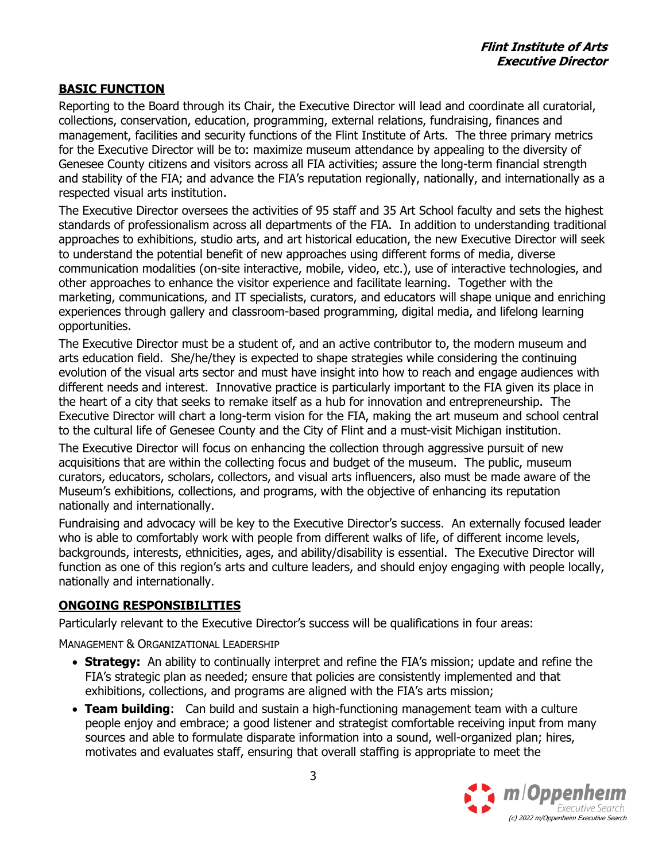## **BASIC FUNCTION**

Reporting to the Board through its Chair, the Executive Director will lead and coordinate all curatorial, collections, conservation, education, programming, external relations, fundraising, finances and management, facilities and security functions of the Flint Institute of Arts. The three primary metrics for the Executive Director will be to: maximize museum attendance by appealing to the diversity of Genesee County citizens and visitors across all FIA activities; assure the long-term financial strength and stability of the FIA; and advance the FIA's reputation regionally, nationally, and internationally as a respected visual arts institution.

The Executive Director oversees the activities of 95 staff and 35 Art School faculty and sets the highest standards of professionalism across all departments of the FIA. In addition to understanding traditional approaches to exhibitions, studio arts, and art historical education, the new Executive Director will seek to understand the potential benefit of new approaches using different forms of media, diverse communication modalities (on-site interactive, mobile, video, etc.), use of interactive technologies, and other approaches to enhance the visitor experience and facilitate learning. Together with the marketing, communications, and IT specialists, curators, and educators will shape unique and enriching experiences through gallery and classroom-based programming, digital media, and lifelong learning opportunities.

The Executive Director must be a student of, and an active contributor to, the modern museum and arts education field. She/he/they is expected to shape strategies while considering the continuing evolution of the visual arts sector and must have insight into how to reach and engage audiences with different needs and interest. Innovative practice is particularly important to the FIA given its place in the heart of a city that seeks to remake itself as a hub for innovation and entrepreneurship. The Executive Director will chart a long-term vision for the FIA, making the art museum and school central to the cultural life of Genesee County and the City of Flint and a must-visit Michigan institution.

The Executive Director will focus on enhancing the collection through aggressive pursuit of new acquisitions that are within the collecting focus and budget of the museum. The public, museum curators, educators, scholars, collectors, and visual arts influencers, also must be made aware of the Museum's exhibitions, collections, and programs, with the objective of enhancing its reputation nationally and internationally.

Fundraising and advocacy will be key to the Executive Director's success. An externally focused leader who is able to comfortably work with people from different walks of life, of different income levels, backgrounds, interests, ethnicities, ages, and ability/disability is essential. The Executive Director will function as one of this region's arts and culture leaders, and should enjoy engaging with people locally, nationally and internationally.

#### **ONGOING RESPONSIBILITIES**

Particularly relevant to the Executive Director's success will be qualifications in four areas:

MANAGEMENT & ORGANIZATIONAL LEADERSHIP

- **Strategy:** An ability to continually interpret and refine the FIA's mission; update and refine the FIA's strategic plan as needed; ensure that policies are consistently implemented and that exhibitions, collections, and programs are aligned with the FIA's arts mission;
- **Team building**: Can build and sustain a high-functioning management team with a culture people enjoy and embrace; a good listener and strategist comfortable receiving input from many sources and able to formulate disparate information into a sound, well-organized plan; hires, motivates and evaluates staff, ensuring that overall staffing is appropriate to meet the

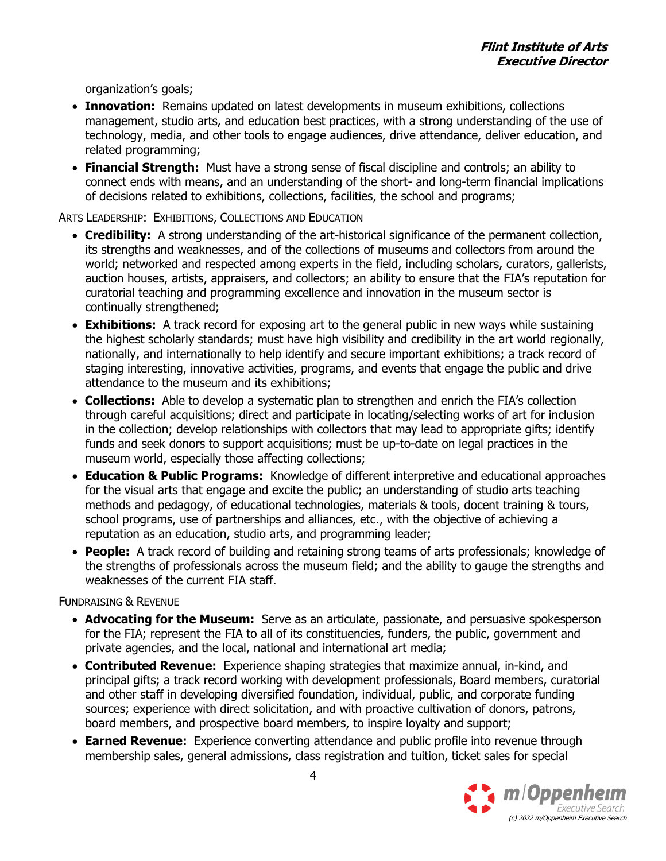organization's goals;

- **Innovation:** Remains updated on latest developments in museum exhibitions, collections management, studio arts, and education best practices, with a strong understanding of the use of technology, media, and other tools to engage audiences, drive attendance, deliver education, and related programming;
- **Financial Strength:** Must have a strong sense of fiscal discipline and controls; an ability to connect ends with means, and an understanding of the short- and long-term financial implications of decisions related to exhibitions, collections, facilities, the school and programs;

ARTS LEADERSHIP: EXHIBITIONS, COLLECTIONS AND EDUCATION

- **Credibility:** A strong understanding of the art-historical significance of the permanent collection, its strengths and weaknesses, and of the collections of museums and collectors from around the world; networked and respected among experts in the field, including scholars, curators, gallerists, auction houses, artists, appraisers, and collectors; an ability to ensure that the FIA's reputation for curatorial teaching and programming excellence and innovation in the museum sector is continually strengthened;
- **Exhibitions:** A track record for exposing art to the general public in new ways while sustaining the highest scholarly standards; must have high visibility and credibility in the art world regionally, nationally, and internationally to help identify and secure important exhibitions; a track record of staging interesting, innovative activities, programs, and events that engage the public and drive attendance to the museum and its exhibitions;
- **Collections:** Able to develop a systematic plan to strengthen and enrich the FIA's collection through careful acquisitions; direct and participate in locating/selecting works of art for inclusion in the collection; develop relationships with collectors that may lead to appropriate gifts; identify funds and seek donors to support acquisitions; must be up-to-date on legal practices in the museum world, especially those affecting collections;
- **Education & Public Programs:** Knowledge of different interpretive and educational approaches for the visual arts that engage and excite the public; an understanding of studio arts teaching methods and pedagogy, of educational technologies, materials & tools, docent training & tours, school programs, use of partnerships and alliances, etc., with the objective of achieving a reputation as an education, studio arts, and programming leader;
- **People:** A track record of building and retaining strong teams of arts professionals; knowledge of the strengths of professionals across the museum field; and the ability to gauge the strengths and weaknesses of the current FIA staff.

FUNDRAISING & REVENUE

- **Advocating for the Museum:** Serve as an articulate, passionate, and persuasive spokesperson for the FIA; represent the FIA to all of its constituencies, funders, the public, government and private agencies, and the local, national and international art media;
- **Contributed Revenue:** Experience shaping strategies that maximize annual, in-kind, and principal gifts; a track record working with development professionals, Board members, curatorial and other staff in developing diversified foundation, individual, public, and corporate funding sources; experience with direct solicitation, and with proactive cultivation of donors, patrons, board members, and prospective board members, to inspire loyalty and support;
- **Earned Revenue:** Experience converting attendance and public profile into revenue through membership sales, general admissions, class registration and tuition, ticket sales for special